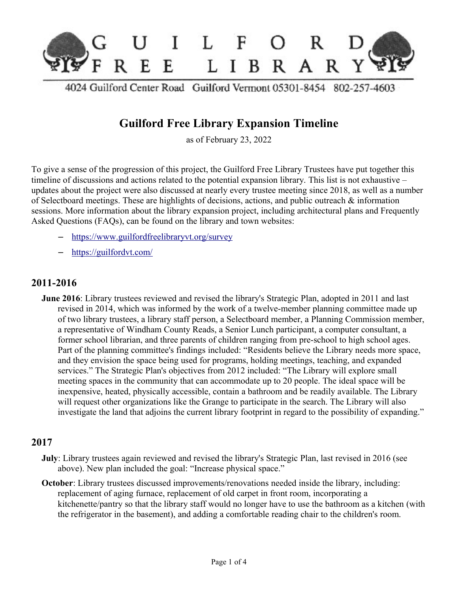

4024 Guilford Center Road Guilford Vermont 05301-8454 802-257-4603

# **Guilford Free Library Expansion Timeline**

as of February 23, 2022

To give a sense of the progression of this project, the Guilford Free Library Trustees have put together this timeline of discussions and actions related to the potential expansion library. This list is not exhaustive – updates about the project were also discussed at nearly every trustee meeting since 2018, as well as a number of Selectboard meetings. These are highlights of decisions, actions, and public outreach & information sessions. More information about the library expansion project, including architectural plans and Frequently Asked Questions (FAQs), can be found on the library and town websites:

- <https://www.guilfordfreelibraryvt.org/survey>
- <https://guilfordvt.com/>

### **2011-2016**

**June 2016**: Library trustees reviewed and revised the library's Strategic Plan, adopted in 2011 and last revised in 2014, which was informed by the work of a twelve-member planning committee made up of two library trustees, a library staff person, a Selectboard member, a Planning Commission member, a representative of Windham County Reads, a Senior Lunch participant, a computer consultant, a former school librarian, and three parents of children ranging from pre-school to high school ages. Part of the planning committee's findings included: "Residents believe the Library needs more space, and they envision the space being used for programs, holding meetings, teaching, and expanded services." The Strategic Plan's objectives from 2012 included: "The Library will explore small meeting spaces in the community that can accommodate up to 20 people. The ideal space will be inexpensive, heated, physically accessible, contain a bathroom and be readily available. The Library will request other organizations like the Grange to participate in the search. The Library will also investigate the land that adjoins the current library footprint in regard to the possibility of expanding."

### **2017**

- **July**: Library trustees again reviewed and revised the library's Strategic Plan, last revised in 2016 (see above). New plan included the goal: "Increase physical space."
- **October**: Library trustees discussed improvements/renovations needed inside the library, including: replacement of aging furnace, replacement of old carpet in front room, incorporating a kitchenette/pantry so that the library staff would no longer have to use the bathroom as a kitchen (with the refrigerator in the basement), and adding a comfortable reading chair to the children's room.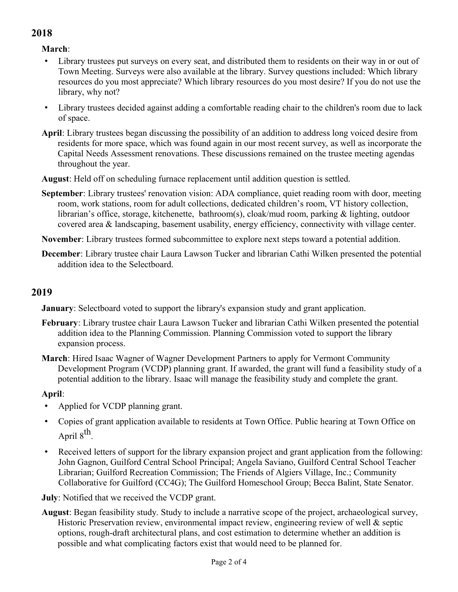## **2018**

**March**:

- Library trustees put surveys on every seat, and distributed them to residents on their way in or out of Town Meeting. Surveys were also available at the library. Survey questions included: Which library resources do you most appreciate? Which library resources do you most desire? If you do not use the library, why not?
- Library trustees decided against adding a comfortable reading chair to the children's room due to lack of space.
- **April**: Library trustees began discussing the possibility of an addition to address long voiced desire from residents for more space, which was found again in our most recent survey, as well as incorporate the Capital Needs Assessment renovations. These discussions remained on the trustee meeting agendas throughout the year.

**August**: Held off on scheduling furnace replacement until addition question is settled.

**September**: Library trustees' renovation vision: ADA compliance, quiet reading room with door, meeting room, work stations, room for adult collections, dedicated children's room, VT history collection, librarian's office, storage, kitchenette, bathroom(s), cloak/mud room, parking & lighting, outdoor covered area & landscaping, basement usability, energy efficiency, connectivity with village center.

**November**: Library trustees formed subcommittee to explore next steps toward a potential addition.

**December**: Library trustee chair Laura Lawson Tucker and librarian Cathi Wilken presented the potential addition idea to the Selectboard.

## **2019**

**January**: Selectboard voted to support the library's expansion study and grant application.

- **February**: Library trustee chair Laura Lawson Tucker and librarian Cathi Wilken presented the potential addition idea to the Planning Commission. Planning Commission voted to support the library expansion process.
- **March**: Hired Isaac Wagner of Wagner Development Partners to apply for Vermont Community Development Program (VCDP) planning grant. If awarded, the grant will fund a feasibility study of a potential addition to the library. Isaac will manage the feasibility study and complete the grant.

### **April**:

- Applied for VCDP planning grant.
- Copies of grant application available to residents at Town Office. Public hearing at Town Office on April 8<sup>th</sup>.
- Received letters of support for the library expansion project and grant application from the following: John Gagnon, Guilford Central School Principal; Angela Saviano, Guilford Central School Teacher Librarian; Guilford Recreation Commission; The Friends of Algiers Village, Inc.; Community Collaborative for Guilford (CC4G); The Guilford Homeschool Group; Becca Balint, State Senator.

**July**: Notified that we received the VCDP grant.

**August**: Began feasibility study. Study to include a narrative scope of the project, archaeological survey, Historic Preservation review, environmental impact review, engineering review of well & septic options, rough-draft architectural plans, and cost estimation to determine whether an addition is possible and what complicating factors exist that would need to be planned for.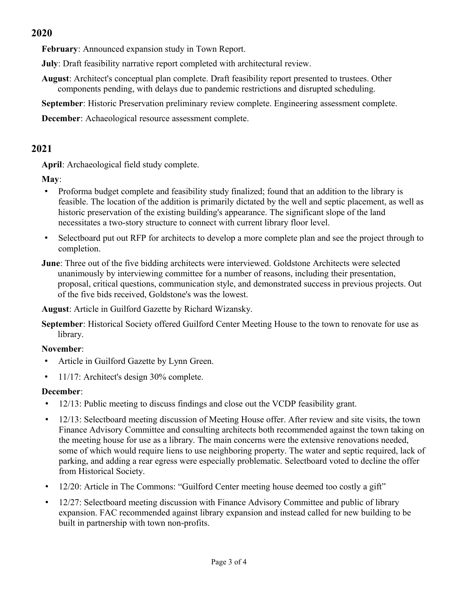## **2020**

**February**: Announced expansion study in Town Report.

**July**: Draft feasibility narrative report completed with architectural review.

**August**: Architect's conceptual plan complete. Draft feasibility report presented to trustees. Other components pending, with delays due to pandemic restrictions and disrupted scheduling.

**September**: Historic Preservation preliminary review complete. Engineering assessment complete.

**December**: Achaeological resource assessment complete.

## **2021**

**April**: Archaeological field study complete.

### **May**:

- Proforma budget complete and feasibility study finalized; found that an addition to the library is feasible. The location of the addition is primarily dictated by the well and septic placement, as well as historic preservation of the existing building's appearance. The significant slope of the land necessitates a two-story structure to connect with current library floor level.
- Selectboard put out RFP for architects to develop a more complete plan and see the project through to completion.
- **June**: Three out of the five bidding architects were interviewed. Goldstone Architects were selected unanimously by interviewing committee for a number of reasons, including their presentation, proposal, critical questions, communication style, and demonstrated success in previous projects. Out of the five bids received, Goldstone's was the lowest.

**August**: Article in Guilford Gazette by Richard Wizansky.

**September**: Historical Society offered Guilford Center Meeting House to the town to renovate for use as library.

### **November**:

- Article in Guilford Gazette by Lynn Green.
- 11/17: Architect's design 30% complete.

### **December**:

- 12/13: Public meeting to discuss findings and close out the VCDP feasibility grant.
- 12/13: Selectboard meeting discussion of Meeting House offer. After review and site visits, the town Finance Advisory Committee and consulting architects both recommended against the town taking on the meeting house for use as a library. The main concerns were the extensive renovations needed, some of which would require liens to use neighboring property. The water and septic required, lack of parking, and adding a rear egress were especially problematic. Selectboard voted to decline the offer from Historical Society.
- 12/20: Article in The Commons: "Guilford Center meeting house deemed too costly a gift"
- 12/27: Selectboard meeting discussion with Finance Advisory Committee and public of library expansion. FAC recommended against library expansion and instead called for new building to be built in partnership with town non-profits.